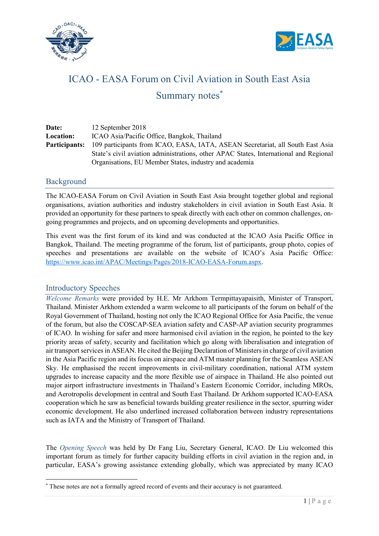



# ICAO - EASA Forum on Civil Aviation in South East Asia Summary notes<sup>\*</sup>

| Date:                | 12 September 2018                                                                     |
|----------------------|---------------------------------------------------------------------------------------|
| <b>Location:</b>     | ICAO Asia/Pacific Office, Bangkok, Thailand                                           |
| <b>Participants:</b> | 109 participants from ICAO, EASA, IATA, ASEAN Secretariat, all South East Asia        |
|                      | State's civil aviation administrations, other APAC States, International and Regional |
|                      | Organisations, EU Member States, industry and academia                                |

## Background

The ICAO-EASA Forum on Civil Aviation in South East Asia brought together global and regional organisations, aviation authorities and industry stakeholders in civil aviation in South East Asia. It provided an opportunity for these partners to speak directly with each other on common challenges, ongoing programmes and projects, and on upcoming developments and opportunities.

This event was the first forum of its kind and was conducted at the ICAO Asia Pacific Office in Bangkok, Thailand. The meeting programme of the forum, list of participants, group photo, copies of speeches and presentations are available on the website of ICAO's Asia Pacific Office: https://www.icao.int/APAC/Meetings/Pages/2018-ICAO-EASA-Forum.aspx.

## Introductory Speeches

-

Welcome Remarks were provided by H.E. Mr Arkhom Termpittayapaisith, Minister of Transport, Thailand. Minister Arkhom extended a warm welcome to all participants of the forum on behalf of the Royal Government of Thailand, hosting not only the ICAO Regional Office for Asia Pacific, the venue of the forum, but also the COSCAP-SEA aviation safety and CASP-AP aviation security programmes of ICAO. In wishing for safer and more harmonised civil aviation in the region, he pointed to the key priority areas of safety, security and facilitation which go along with liberalisation and integration of air transport services in ASEAN. He cited the Beijing Declaration of Ministers in charge of civil aviation in the Asia Pacific region and its focus on airspace and ATM master planning for the Seamless ASEAN Sky. He emphasised the recent improvements in civil-military coordination, national ATM system upgrades to increase capacity and the more flexible use of airspace in Thailand. He also pointed out major airport infrastructure investments in Thailand's Eastern Economic Corridor, including MROs, and Aerotropolis development in central and South East Thailand. Dr Arkhom supported ICAO-EASA cooperation which he saw as beneficial towards building greater resilience in the sector, spurring wider economic development. He also underlined increased collaboration between industry representations such as IATA and the Ministry of Transport of Thailand.

The Opening Speech was held by Dr Fang Liu, Secretary General, ICAO. Dr Liu welcomed this important forum as timely for further capacity building efforts in civil aviation in the region and, in particular, EASA's growing assistance extending globally, which was appreciated by many ICAO

<sup>\*</sup> These notes are not a formally agreed record of events and their accuracy is not guaranteed.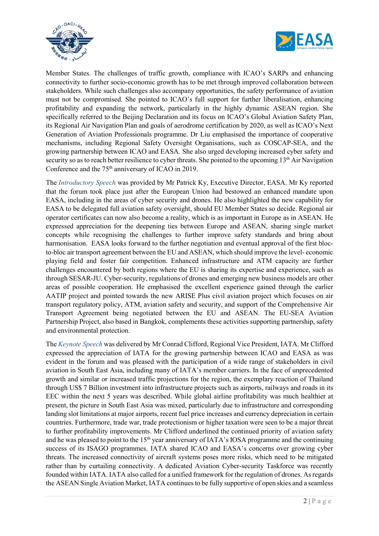



Member States. The challenges of traffic growth, compliance with ICAO's SARPs and enhancing connectivity to further socio-economic growth has to be met through improved collaboration between stakeholders. While such challenges also accompany opportunities, the safety performance of aviation must not be compromised. She pointed to ICAO's full support for further liberalisation, enhancing profitability and expanding the network, particularly in the highly dynamic ASEAN region. She specifically referred to the Beijing Declaration and its focus on ICAO's Global Aviation Safety Plan, its Regional Air Navigation Plan and goals of aerodrome certification by 2020, as well as ICAO's Next Generation of Aviation Professionals programme. Dr Liu emphasised the importance of cooperative mechanisms, including Regional Safety Oversight Organisations, such as COSCAP-SEA, and the growing partnership between ICAO and EASA. She also urged developing increased cyber safety and security so as to reach better resilience to cyber threats. She pointed to the upcoming 13<sup>th</sup> Air Navigation Conference and the  $75<sup>th</sup>$  anniversary of ICAO in 2019.

The Introductory Speech was provided by Mr Patrick Ky, Executive Director, EASA. Mr Ky reported that the forum took place just after the European Union had bestowed an enhanced mandate upon EASA, including in the areas of cyber security and drones. He also highlighted the new capability for EASA to be delegated full aviation safety oversight, should EU Member States so decide. Regional air operator certificates can now also become a reality, which is as important in Europe as in ASEAN. He expressed appreciation for the deepening ties between Europe and ASEAN, sharing single market concepts while recognising the challenges to further improve safety standards and bring about harmonisation. EASA looks forward to the further negotiation and eventual approval of the first blocto-bloc air transport agreement between the EU and ASEAN, which should improve the level- economic playing field and foster fair competition. Enhanced infrastructure and ATM capacity are further challenges encountered by both regions where the EU is sharing its expertise and experience, such as through SESAR-JU. Cyber-security, regulations of drones and emerging new business models are other areas of possible cooperation. He emphasised the excellent experience gained through the earlier AATIP project and pointed towards the new ARISE Plus civil aviation project which focuses on air transport regulatory policy, ATM, aviation safety and security, and support of the Comprehensive Air Transport Agreement being negotiated between the EU and ASEAN. The EU-SEA Aviation Partnership Project, also based in Bangkok, complements these activities supporting partnership, safety and environmental protection.

The Keynote Speech was delivered by Mr Conrad Clifford, Regional Vice President, IATA. Mr Clifford expressed the appreciation of IATA for the growing partnership between ICAO and EASA as was evident in the forum and was pleased with the participation of a wide range of stakeholders in civil aviation in South East Asia, including many of IATA's member carriers. In the face of unprecedented growth and similar or increased traffic projections for the region, the exemplary reaction of Thailand through US\$ 7 Billion investment into infrastructure projects such as airports, railways and roads in its EEC within the next 5 years was described. While global airline profitability was much healthier at present, the picture in South East Asia was mixed, particularly due to infrastructure and corresponding landing slot limitations at major airports, recent fuel price increases and currency depreciation in certain countries. Furthermore, trade war, trade protectionism or higher taxation were seen to be a major threat to further profitability improvements. Mr Clifford underlined the continued priority of aviation safety and he was pleased to point to the 15<sup>th</sup> year anniversary of IATA's IOSA programme and the continuing success of its ISAGO programmes. IATA shared ICAO and EASA's concerns over growing cyber threats. The increased connectivity of aircraft systems poses more risks, which need to be mitigated rather than by curtailing connectivity. A dedicated Aviation Cyber-security Taskforce was recently founded within IATA. IATA also called for a unified framework for the regulation of drones. As regards the ASEAN Single Aviation Market, IATA continues to be fully supportive of open skies and a seamless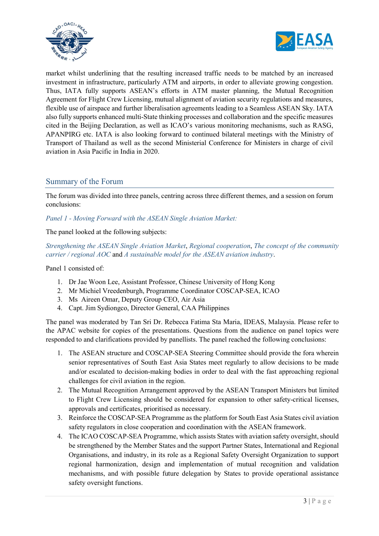



market whilst underlining that the resulting increased traffic needs to be matched by an increased investment in infrastructure, particularly ATM and airports, in order to alleviate growing congestion. Thus, IATA fully supports ASEAN's efforts in ATM master planning, the Mutual Recognition Agreement for Flight Crew Licensing, mutual alignment of aviation security regulations and measures, flexible use of airspace and further liberalisation agreements leading to a Seamless ASEAN Sky. IATA also fully supports enhanced multi-State thinking processes and collaboration and the specific measures cited in the Beijing Declaration, as well as ICAO's various monitoring mechanisms, such as RASG, APANPIRG etc. IATA is also looking forward to continued bilateral meetings with the Ministry of Transport of Thailand as well as the second Ministerial Conference for Ministers in charge of civil aviation in Asia Pacific in India in 2020.

## Summary of the Forum

The forum was divided into three panels, centring across three different themes, and a session on forum conclusions:

Panel 1 - Moving Forward with the ASEAN Single Aviation Market:

The panel looked at the following subjects:

Strengthening the ASEAN Single Aviation Market, Regional cooperation, The concept of the community carrier / regional AOC and A sustainable model for the ASEAN aviation industry.

Panel 1 consisted of:

- 1. Dr Jae Woon Lee, Assistant Professor, Chinese University of Hong Kong
- 2. Mr Michiel Vreedenburgh, Programme Coordinator COSCAP-SEA, ICAO
- 3. Ms Aireen Omar, Deputy Group CEO, Air Asia
- 4. Capt. Jim Sydiongco, Director General, CAA Philippines

The panel was moderated by Tan Sri Dr. Rebecca Fatima Sta Maria, IDEAS, Malaysia. Please refer to the APAC website for copies of the presentations. Questions from the audience on panel topics were responded to and clarifications provided by panellists. The panel reached the following conclusions:

- 1. The ASEAN structure and COSCAP-SEA Steering Committee should provide the fora wherein senior representatives of South East Asia States meet regularly to allow decisions to be made and/or escalated to decision-making bodies in order to deal with the fast approaching regional challenges for civil aviation in the region.
- 2. The Mutual Recognition Arrangement approved by the ASEAN Transport Ministers but limited to Flight Crew Licensing should be considered for expansion to other safety-critical licenses, approvals and certificates, prioritised as necessary.
- 3. Reinforce the COSCAP-SEA Programme as the platform for South East Asia States civil aviation safety regulators in close cooperation and coordination with the ASEAN framework.
- 4. The ICAO COSCAP-SEA Programme, which assists States with aviation safety oversight, should be strengthened by the Member States and the support Partner States, International and Regional Organisations, and industry, in its role as a Regional Safety Oversight Organization to support regional harmonization, design and implementation of mutual recognition and validation mechanisms, and with possible future delegation by States to provide operational assistance safety oversight functions.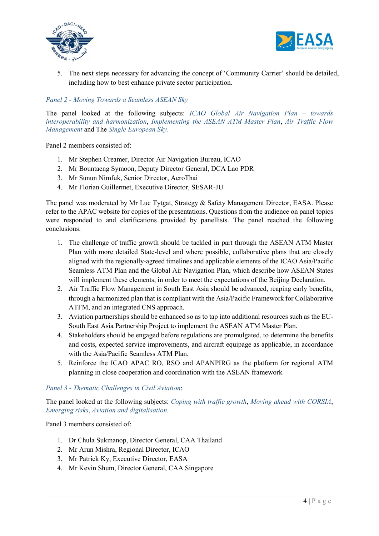



5. The next steps necessary for advancing the concept of 'Community Carrier' should be detailed, including how to best enhance private sector participation.

#### Panel 2 - Moving Towards a Seamless ASEAN Sky

The panel looked at the following subjects: ICAO Global Air Navigation Plan – towards interoperability and harmonization, Implementing the ASEAN ATM Master Plan, Air Traffic Flow Management and The Single European Sky.

Panel 2 members consisted of:

- 1. Mr Stephen Creamer, Director Air Navigation Bureau, ICAO
- 2. Mr Bountaeng Symoon, Deputy Director General, DCA Lao PDR
- 3. Mr Sunun Nimfuk, Senior Director, AeroThai
- 4. Mr Florian Guillermet, Executive Director, SESAR-JU

The panel was moderated by Mr Luc Tytgat, Strategy & Safety Management Director, EASA. Please refer to the APAC website for copies of the presentations. Questions from the audience on panel topics were responded to and clarifications provided by panellists. The panel reached the following conclusions:

- 1. The challenge of traffic growth should be tackled in part through the ASEAN ATM Master Plan with more detailed State-level and where possible, collaborative plans that are closely aligned with the regionally-agreed timelines and applicable elements of the ICAO Asia/Pacific Seamless ATM Plan and the Global Air Navigation Plan, which describe how ASEAN States will implement these elements, in order to meet the expectations of the Beijing Declaration.
- 2. Air Traffic Flow Management in South East Asia should be advanced, reaping early benefits, through a harmonized plan that is compliant with the Asia/Pacific Framework for Collaborative ATFM, and an integrated CNS approach.
- 3. Aviation partnerships should be enhanced so as to tap into additional resources such as the EU-South East Asia Partnership Project to implement the ASEAN ATM Master Plan.
- 4. Stakeholders should be engaged before regulations are promulgated, to determine the benefits and costs, expected service improvements, and aircraft equipage as applicable, in accordance with the Asia/Pacific Seamless ATM Plan.
- 5. Reinforce the ICAO APAC RO, RSO and APANPIRG as the platform for regional ATM planning in close cooperation and coordination with the ASEAN framework

#### Panel 3 - Thematic Challenges in Civil Aviation:

The panel looked at the following subjects: Coping with traffic growth, Moving ahead with CORSIA, Emerging risks, Aviation and digitalisation.

Panel 3 members consisted of:

- 1. Dr Chula Sukmanop, Director General, CAA Thailand
- 2. Mr Arun Mishra, Regional Director, ICAO
- 3. Mr Patrick Ky, Executive Director, EASA
- 4. Mr Kevin Shum, Director General, CAA Singapore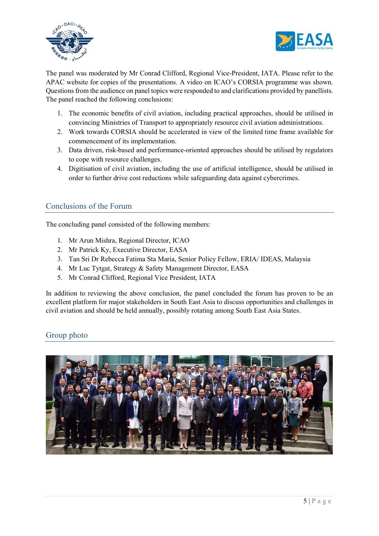



The panel was moderated by Mr Conrad Clifford, Regional Vice-President, IATA. Please refer to the APAC website for copies of the presentations. A video on ICAO's CORSIA programme was shown. Questions from the audience on panel topics were responded to and clarifications provided by panellists. The panel reached the following conclusions:

- 1. The economic benefits of civil aviation, including practical approaches, should be utilised in convincing Ministries of Transport to appropriately resource civil aviation administrations.
- 2. Work towards CORSIA should be accelerated in view of the limited time frame available for commencement of its implementation.
- 3. Data driven, risk-based and performance-oriented approaches should be utilised by regulators to cope with resource challenges.
- 4. Digitisation of civil aviation, including the use of artificial intelligence, should be utilised in order to further drive cost reductions while safeguarding data against cybercrimes.

## Conclusions of the Forum

The concluding panel consisted of the following members:

- 1. Mr Arun Mishra, Regional Director, ICAO
- 2. Mr Patrick Ky, Executive Director, EASA
- 3. Tan Sri Dr Rebecca Fatima Sta Maria, Senior Policy Fellow, ERIA/ IDEAS, Malaysia
- 4. Mr Luc Tytgat, Strategy & Safety Management Director, EASA
- 5. Mr Conrad Clifford, Regional Vice President, IATA

In addition to reviewing the above conclusion, the panel concluded the forum has proven to be an excellent platform for major stakeholders in South East Asia to discuss opportunities and challenges in civil aviation and should be held annually, possibly rotating among South East Asia States.

## Group photo